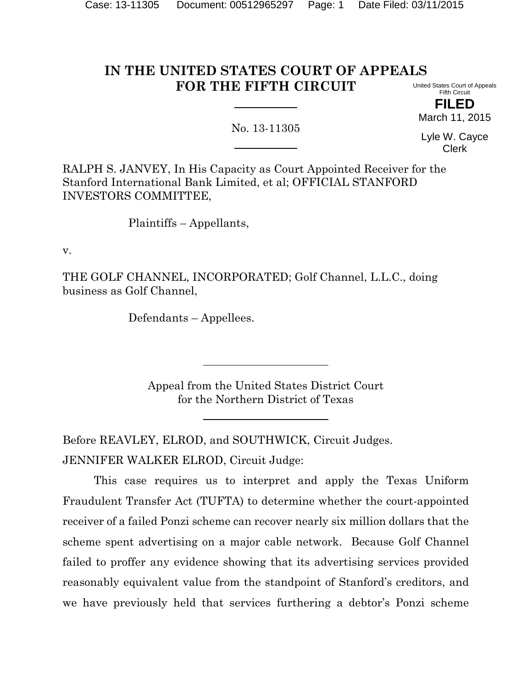#### **IN THE UNITED STATES COURT OF APPEALS FOR THE FIFTH CIRCUIT** United States Court of Appeals

Fifth Circuit **FILED**

March 11, 2015

No. 13-11305

Lyle W. Cayce Clerk

RALPH S. JANVEY, In His Capacity as Court Appointed Receiver for the Stanford International Bank Limited, et al; OFFICIAL STANFORD INVESTORS COMMITTEE,

Plaintiffs – Appellants,

v.

THE GOLF CHANNEL, INCORPORATED; Golf Channel, L.L.C., doing business as Golf Channel,

Defendants – Appellees.

Appeal from the United States District Court for the Northern District of Texas

Before REAVLEY, ELROD, and SOUTHWICK, Circuit Judges. JENNIFER WALKER ELROD, Circuit Judge:

This case requires us to interpret and apply the Texas Uniform Fraudulent Transfer Act (TUFTA) to determine whether the court-appointed receiver of a failed Ponzi scheme can recover nearly six million dollars that the scheme spent advertising on a major cable network. Because Golf Channel failed to proffer any evidence showing that its advertising services provided reasonably equivalent value from the standpoint of Stanford's creditors, and we have previously held that services furthering a debtor's Ponzi scheme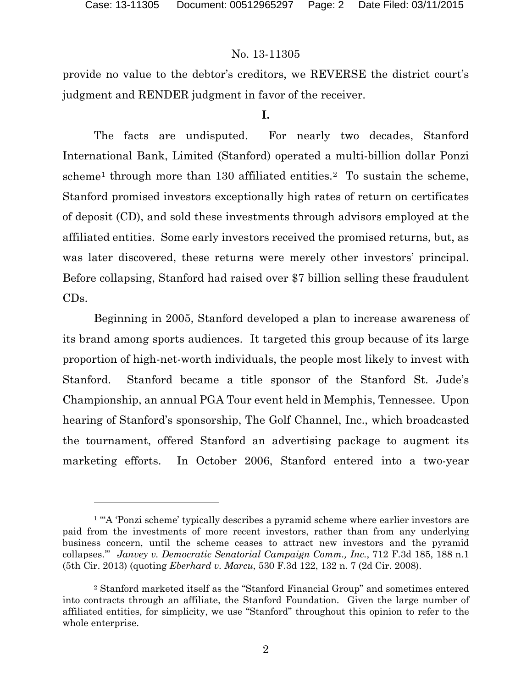l

## No. 13-11305

provide no value to the debtor's creditors, we REVERSE the district court's judgment and RENDER judgment in favor of the receiver.

### **I.**

The facts are undisputed. For nearly two decades, Stanford International Bank, Limited (Stanford) operated a multi-billion dollar Ponzi scheme<sup>[1](#page-1-0)</sup> through more than 130 affiliated entities.<sup>[2](#page-1-1)</sup> To sustain the scheme, Stanford promised investors exceptionally high rates of return on certificates of deposit (CD), and sold these investments through advisors employed at the affiliated entities. Some early investors received the promised returns, but, as was later discovered, these returns were merely other investors' principal. Before collapsing, Stanford had raised over \$7 billion selling these fraudulent CDs.

Beginning in 2005, Stanford developed a plan to increase awareness of its brand among sports audiences. It targeted this group because of its large proportion of high-net-worth individuals, the people most likely to invest with Stanford. Stanford became a title sponsor of the Stanford St. Jude's Championship, an annual PGA Tour event held in Memphis, Tennessee. Upon hearing of Stanford's sponsorship, The Golf Channel, Inc., which broadcasted the tournament, offered Stanford an advertising package to augment its marketing efforts. In October 2006, Stanford entered into a two-year

<span id="page-1-0"></span><sup>&</sup>lt;sup>1</sup> "A 'Ponzi scheme' typically describes a pyramid scheme where earlier investors are paid from the investments of more recent investors, rather than from any underlying business concern, until the scheme ceases to attract new investors and the pyramid collapses.'" *Janvey v. Democratic Senatorial Campaign Comm., Inc.*, 712 F.3d 185, 188 n.1 (5th Cir. 2013) (quoting *Eberhard v. Marcu*, 530 F.3d 122, 132 n. 7 (2d Cir. 2008).

<span id="page-1-1"></span><sup>2</sup> Stanford marketed itself as the "Stanford Financial Group" and sometimes entered into contracts through an affiliate, the Stanford Foundation. Given the large number of affiliated entities, for simplicity, we use "Stanford" throughout this opinion to refer to the whole enterprise.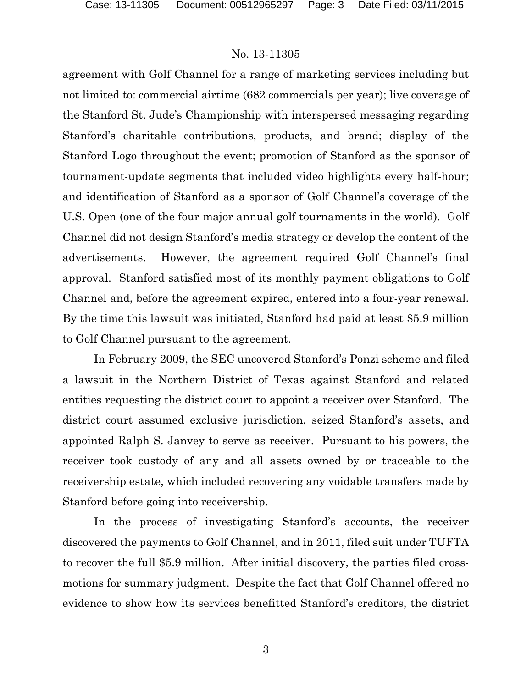#### No. 13-11305

agreement with Golf Channel for a range of marketing services including but not limited to: commercial airtime (682 commercials per year); live coverage of the Stanford St. Jude's Championship with interspersed messaging regarding Stanford's charitable contributions, products, and brand; display of the Stanford Logo throughout the event; promotion of Stanford as the sponsor of tournament-update segments that included video highlights every half-hour; and identification of Stanford as a sponsor of Golf Channel's coverage of the U.S. Open (one of the four major annual golf tournaments in the world). Golf Channel did not design Stanford's media strategy or develop the content of the advertisements. However, the agreement required Golf Channel's final approval. Stanford satisfied most of its monthly payment obligations to Golf Channel and, before the agreement expired, entered into a four-year renewal. By the time this lawsuit was initiated, Stanford had paid at least \$5.9 million to Golf Channel pursuant to the agreement.

In February 2009, the SEC uncovered Stanford's Ponzi scheme and filed a lawsuit in the Northern District of Texas against Stanford and related entities requesting the district court to appoint a receiver over Stanford. The district court assumed exclusive jurisdiction, seized Stanford's assets, and appointed Ralph S. Janvey to serve as receiver. Pursuant to his powers, the receiver took custody of any and all assets owned by or traceable to the receivership estate, which included recovering any voidable transfers made by Stanford before going into receivership.

In the process of investigating Stanford's accounts, the receiver discovered the payments to Golf Channel, and in 2011, filed suit under TUFTA to recover the full \$5.9 million. After initial discovery, the parties filed crossmotions for summary judgment. Despite the fact that Golf Channel offered no evidence to show how its services benefitted Stanford's creditors, the district

3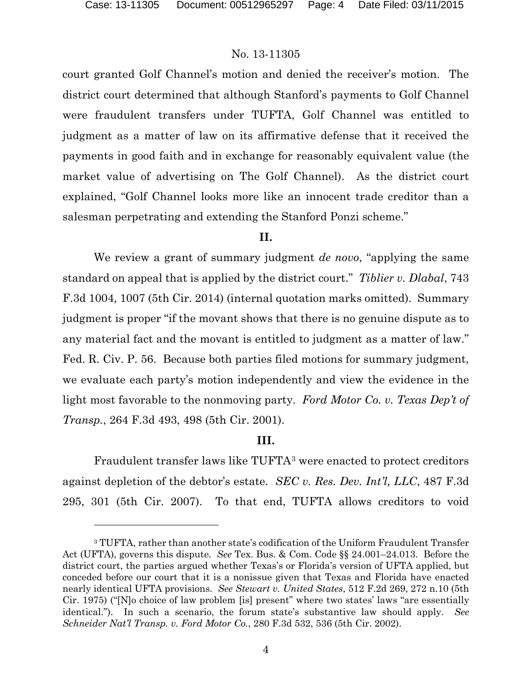### No. 13-11305

court granted Golf Channel's motion and denied the receiver's motion. The district court determined that although Stanford's payments to Golf Channel were fraudulent transfers under TUFTA, Golf Channel was entitled to judgment as a matter of law on its affirmative defense that it received the payments in good faith and in exchange for reasonably equivalent value (the market value of advertising on The Golf Channel). As the district court explained, "Golf Channel looks more like an innocent trade creditor than a salesman perpetrating and extending the Stanford Ponzi scheme."

#### **II.**

We review a grant of summary judgment *de novo*, "applying the same standard on appeal that is applied by the district court." *Tiblier v. Dlabal*, 743 F.3d 1004, 1007 (5th Cir. 2014) (internal quotation marks omitted). Summary judgment is proper "if the movant shows that there is no genuine dispute as to any material fact and the movant is entitled to judgment as a matter of law." Fed. R. Civ. P. 56. Because both parties filed motions for summary judgment, we evaluate each party's motion independently and view the evidence in the light most favorable to the nonmoving party. *Ford Motor Co. v. Texas Dep't of Transp.*, 264 F.3d 493, 498 (5th Cir. 2001).

### **III.**

Fraudulent transfer laws like TUFTA[3](#page-3-0) were enacted to protect creditors against depletion of the debtor's estate. *SEC v. Res. Dev. Int'l, LLC*, 487 F.3d 295, 301 (5th Cir. 2007). To that end, TUFTA allows creditors to void

<span id="page-3-0"></span><sup>3</sup> TUFTA, rather than another state's codification of the Uniform Fraudulent Transfer Act (UFTA), governs this dispute. *See* Tex. Bus. & Com. Code §§ 24.001–24.013. Before the district court, the parties argued whether Texas's or Florida's version of UFTA applied, but conceded before our court that it is a nonissue given that Texas and Florida have enacted nearly identical UFTA provisions. *See Stewart v. United States*, 512 F.2d 269, 272 n.10 (5th Cir. 1975) ("[N]o choice of law problem [is] present" where two states' laws "are essentially identical."). In such a scenario, the forum state's substantive law should apply. *See Schneider Nat'l Transp. v. Ford Motor Co.*, 280 F.3d 532, 536 (5th Cir. 2002).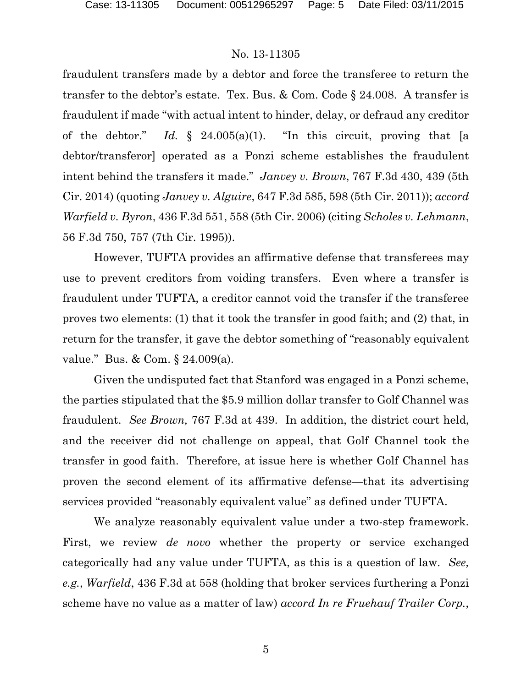### No. 13-11305

fraudulent transfers made by a debtor and force the transferee to return the transfer to the debtor's estate. Tex. Bus. & Com. Code § 24.008. A transfer is fraudulent if made "with actual intent to hinder, delay, or defraud any creditor of the debtor." *Id.* § 24.005(a)(1). "In this circuit, proving that [a debtor/transferor] operated as a Ponzi scheme establishes the fraudulent intent behind the transfers it made." *Janvey v. Brown*, 767 F.3d 430, 439 (5th Cir. 2014) (quoting *Janvey v. Alguire*, 647 F.3d 585, 598 (5th Cir. 2011)); *accord Warfield v. Byron*, 436 F.3d 551, 558 (5th Cir. 2006) (citing *Scholes v. Lehmann*, 56 F.3d 750, 757 (7th Cir. 1995)).

However, TUFTA provides an affirmative defense that transferees may use to prevent creditors from voiding transfers. Even where a transfer is fraudulent under TUFTA, a creditor cannot void the transfer if the transferee proves two elements: (1) that it took the transfer in good faith; and (2) that, in return for the transfer, it gave the debtor something of "reasonably equivalent value." Bus. & Com. § 24.009(a).

Given the undisputed fact that Stanford was engaged in a Ponzi scheme, the parties stipulated that the \$5.9 million dollar transfer to Golf Channel was fraudulent. *See Brown,* 767 F.3d at 439.In addition, the district court held, and the receiver did not challenge on appeal, that Golf Channel took the transfer in good faith. Therefore, at issue here is whether Golf Channel has proven the second element of its affirmative defense—that its advertising services provided "reasonably equivalent value" as defined under TUFTA.

We analyze reasonably equivalent value under a two-step framework. First, we review *de novo* whether the property or service exchanged categorically had any value under TUFTA, as this is a question of law. *See, e.g.*, *Warfield*, 436 F.3d at 558 (holding that broker services furthering a Ponzi scheme have no value as a matter of law) *accord In re Fruehauf Trailer Corp.*,

5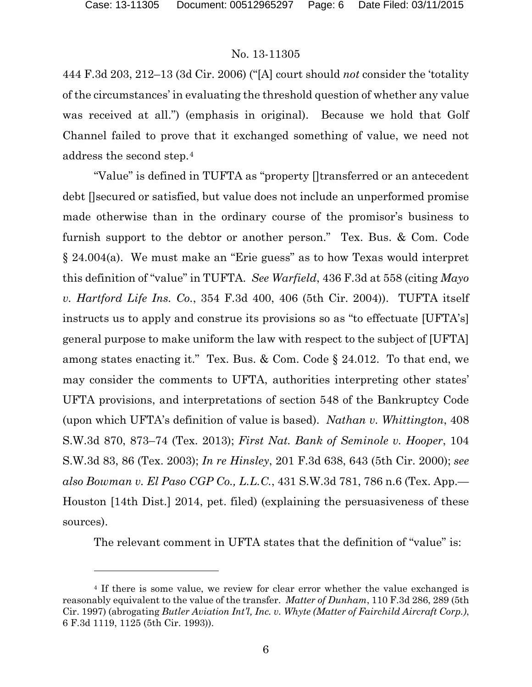### No. 13-11305

444 F.3d 203, 212–13 (3d Cir. 2006) ("[A] court should *not* consider the 'totality of the circumstances' in evaluating the threshold question of whether any value was received at all.") (emphasis in original). Because we hold that Golf Channel failed to prove that it exchanged something of value, we need not address the second step.[4](#page-5-0)

"Value" is defined in TUFTA as "property []transferred or an antecedent debt []secured or satisfied, but value does not include an unperformed promise made otherwise than in the ordinary course of the promisor's business to furnish support to the debtor or another person." Tex. Bus. & Com. Code § 24.004(a). We must make an "Erie guess" as to how Texas would interpret this definition of "value" in TUFTA. *See Warfield*, 436 F.3d at 558 (citing *Mayo v. Hartford Life Ins. Co.*, 354 F.3d 400, 406 (5th Cir. 2004)). TUFTA itself instructs us to apply and construe its provisions so as "to effectuate [UFTA's] general purpose to make uniform the law with respect to the subject of [UFTA] among states enacting it." Tex. Bus. & Com. Code § 24.012. To that end, we may consider the comments to UFTA, authorities interpreting other states' UFTA provisions, and interpretations of section 548 of the Bankruptcy Code (upon which UFTA's definition of value is based). *Nathan v. Whittington*, 408 S.W.3d 870, 873–74 (Tex. 2013); *First Nat. Bank of Seminole v. Hooper*, 104 S.W.3d 83, 86 (Tex. 2003); *In re Hinsley*, 201 F.3d 638, 643 (5th Cir. 2000); *see also Bowman v. El Paso CGP Co., L.L.C.*, 431 S.W.3d 781, 786 n.6 (Tex. App.— Houston [14th Dist.] 2014, pet. filed) (explaining the persuasiveness of these sources).

The relevant comment in UFTA states that the definition of "value" is:

<span id="page-5-0"></span><sup>&</sup>lt;sup>4</sup> If there is some value, we review for clear error whether the value exchanged is reasonably equivalent to the value of the transfer. *Matter of Dunham*, 110 F.3d 286, 289 (5th Cir. 1997) (abrogating *Butler Aviation Int'l, Inc. v. Whyte (Matter of Fairchild Aircraft Corp.)*, 6 F.3d 1119, 1125 (5th Cir. 1993)).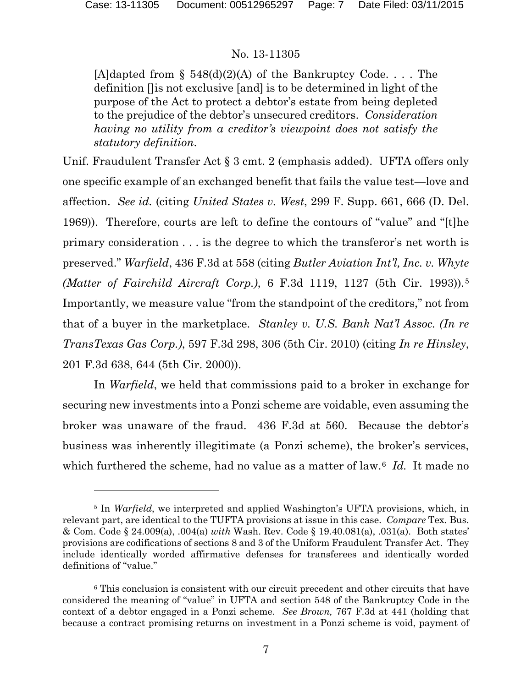## No. 13-11305

[A]dapted from  $\S$  548(d)(2)(A) of the Bankruptcy Code.... The definition []is not exclusive [and] is to be determined in light of the purpose of the Act to protect a debtor's estate from being depleted to the prejudice of the debtor's unsecured creditors. *Consideration having no utility from a creditor's viewpoint does not satisfy the statutory definition*.

Unif. Fraudulent Transfer Act § 3 cmt. 2 (emphasis added). UFTA offers only one specific example of an exchanged benefit that fails the value test—love and affection. *See id.* (citing *United States v. West*, 299 F. Supp. 661, 666 (D. Del. 1969)). Therefore, courts are left to define the contours of "value" and "[t]he primary consideration . . . is the degree to which the transferor's net worth is preserved." *Warfield*, 436 F.3d at 558 (citing *Butler Aviation Int'l, Inc. v. Whyte (Matter of Fairchild Aircraft Corp.)*, 6 F.3d 1119, 1127 (5th Cir. 1993))*.*[5](#page-6-0) Importantly, we measure value "from the standpoint of the creditors," not from that of a buyer in the marketplace. *Stanley v. U.S. Bank Nat'l Assoc. (In re TransTexas Gas Corp.)*, 597 F.3d 298, 306 (5th Cir. 2010) (citing *In re Hinsley*, 201 F.3d 638, 644 (5th Cir. 2000)).

In *Warfield*, we held that commissions paid to a broker in exchange for securing new investments into a Ponzi scheme are voidable, even assuming the broker was unaware of the fraud. 436 F.3d at 560. Because the debtor's business was inherently illegitimate (a Ponzi scheme), the broker's services, which furthered the scheme, had no value as a matter of law.[6](#page-6-1) *Id.* It made no

<span id="page-6-0"></span><sup>&</sup>lt;sup>5</sup> In *Warfield*, we interpreted and applied Washington's UFTA provisions, which, in relevant part, are identical to the TUFTA provisions at issue in this case. *Compare* Tex. Bus. & Com. Code § 24.009(a), .004(a) *with* Wash. Rev. Code § 19.40.081(a), .031(a). Both states' provisions are codifications of sections 8 and 3 of the Uniform Fraudulent Transfer Act. They include identically worded affirmative defenses for transferees and identically worded definitions of "value."

<span id="page-6-1"></span><sup>6</sup> This conclusion is consistent with our circuit precedent and other circuits that have considered the meaning of "value" in UFTA and section 548 of the Bankruptcy Code in the context of a debtor engaged in a Ponzi scheme. *See Brown,* 767 F.3d at 441 (holding that because a contract promising returns on investment in a Ponzi scheme is void, payment of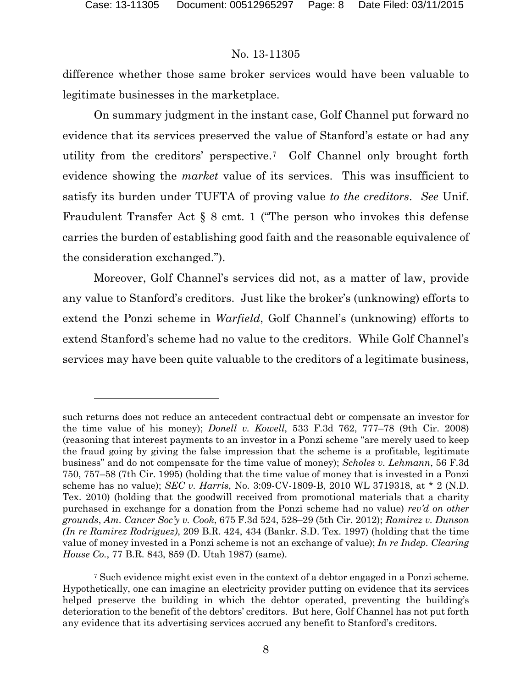# No. 13-11305

difference whether those same broker services would have been valuable to legitimate businesses in the marketplace.

On summary judgment in the instant case, Golf Channel put forward no evidence that its services preserved the value of Stanford's estate or had any utility from the creditors' perspective.[7](#page-7-0) Golf Channel only brought forth evidence showing the *market* value of its services. This was insufficient to satisfy its burden under TUFTA of proving value *to the creditors*. *See* Unif. Fraudulent Transfer Act § 8 cmt. 1 ("The person who invokes this defense carries the burden of establishing good faith and the reasonable equivalence of the consideration exchanged.").

Moreover, Golf Channel's services did not, as a matter of law, provide any value to Stanford's creditors. Just like the broker's (unknowing) efforts to extend the Ponzi scheme in *Warfield*, Golf Channel's (unknowing) efforts to extend Stanford's scheme had no value to the creditors. While Golf Channel's services may have been quite valuable to the creditors of a legitimate business,

such returns does not reduce an antecedent contractual debt or compensate an investor for the time value of his money); *Donell v. Kowell*, 533 F.3d 762, 777–78 (9th Cir. 2008) (reasoning that interest payments to an investor in a Ponzi scheme "are merely used to keep the fraud going by giving the false impression that the scheme is a profitable, legitimate business" and do not compensate for the time value of money); *Scholes v. Lehmann*, 56 F.3d 750, 757–58 (7th Cir. 1995) (holding that the time value of money that is invested in a Ponzi scheme has no value); *SEC v. Harris*, No. 3:09-CV-1809-B, 2010 WL 3719318, at \* 2 (N.D. Tex. 2010) (holding that the goodwill received from promotional materials that a charity purchased in exchange for a donation from the Ponzi scheme had no value) *rev'd on other grounds*, *Am. Cancer Soc'y v. Cook*, 675 F.3d 524, 528–29 (5th Cir. 2012); *Ramirez v. Dunson (In re Ramirez Rodriguez)*, 209 B.R. 424, 434 (Bankr. S.D. Tex. 1997) (holding that the time value of money invested in a Ponzi scheme is not an exchange of value); *In re Indep. Clearing House Co.*, 77 B.R. 843, 859 (D. Utah 1987) (same).

<span id="page-7-0"></span><sup>7</sup> Such evidence might exist even in the context of a debtor engaged in a Ponzi scheme. Hypothetically, one can imagine an electricity provider putting on evidence that its services helped preserve the building in which the debtor operated, preventing the building's deterioration to the benefit of the debtors' creditors. But here, Golf Channel has not put forth any evidence that its advertising services accrued any benefit to Stanford's creditors.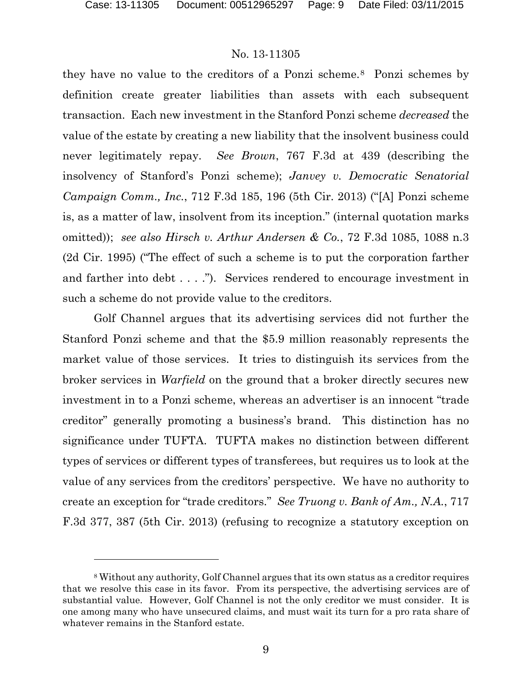### No. 13-11305

they have no value to the creditors of a Ponzi scheme.[8](#page-8-0) Ponzi schemes by definition create greater liabilities than assets with each subsequent transaction. Each new investment in the Stanford Ponzi scheme *decreased* the value of the estate by creating a new liability that the insolvent business could never legitimately repay. *See Brown*, 767 F.3d at 439 (describing the insolvency of Stanford's Ponzi scheme); *Janvey v. Democratic Senatorial Campaign Comm., Inc.*, 712 F.3d 185, 196 (5th Cir. 2013) ("[A] Ponzi scheme is, as a matter of law, insolvent from its inception." (internal quotation marks omitted)); *see also Hirsch v. Arthur Andersen & Co.*, 72 F.3d 1085, 1088 n.3 (2d Cir. 1995) ("The effect of such a scheme is to put the corporation farther and farther into debt . . . ."). Services rendered to encourage investment in such a scheme do not provide value to the creditors.

Golf Channel argues that its advertising services did not further the Stanford Ponzi scheme and that the \$5.9 million reasonably represents the market value of those services. It tries to distinguish its services from the broker services in *Warfield* on the ground that a broker directly secures new investment in to a Ponzi scheme, whereas an advertiser is an innocent "trade creditor" generally promoting a business's brand. This distinction has no significance under TUFTA. TUFTA makes no distinction between different types of services or different types of transferees, but requires us to look at the value of any services from the creditors' perspective. We have no authority to create an exception for "trade creditors." *See Truong v. Bank of Am., N.A.*, 717 F.3d 377, 387 (5th Cir. 2013) (refusing to recognize a statutory exception on

<span id="page-8-0"></span><sup>8</sup> Without any authority, Golf Channel argues that its own status as a creditor requires that we resolve this case in its favor. From its perspective, the advertising services are of substantial value. However, Golf Channel is not the only creditor we must consider. It is one among many who have unsecured claims, and must wait its turn for a pro rata share of whatever remains in the Stanford estate.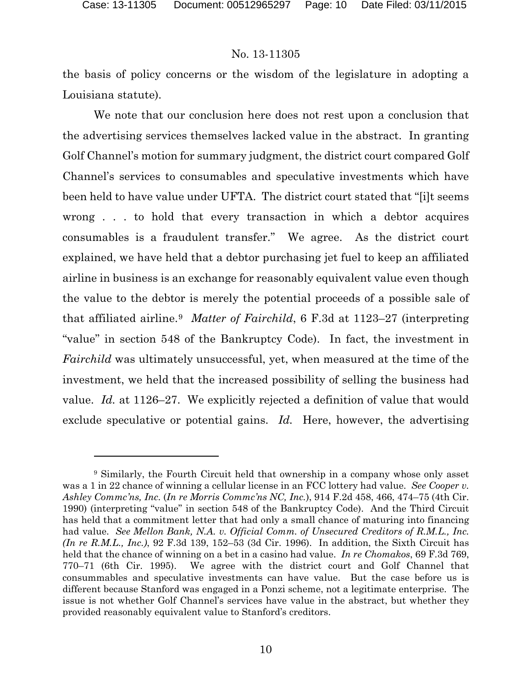## No. 13-11305

the basis of policy concerns or the wisdom of the legislature in adopting a Louisiana statute).

We note that our conclusion here does not rest upon a conclusion that the advertising services themselves lacked value in the abstract. In granting Golf Channel's motion for summary judgment, the district court compared Golf Channel's services to consumables and speculative investments which have been held to have value under UFTA. The district court stated that "[i]t seems wrong . . . to hold that every transaction in which a debtor acquires consumables is a fraudulent transfer." We agree. As the district court explained, we have held that a debtor purchasing jet fuel to keep an affiliated airline in business is an exchange for reasonably equivalent value even though the value to the debtor is merely the potential proceeds of a possible sale of that affiliated airline.[9](#page-9-0) *Matter of Fairchild*, 6 F.3d at 1123–27 (interpreting "value" in section 548 of the Bankruptcy Code). In fact, the investment in *Fairchild* was ultimately unsuccessful, yet, when measured at the time of the investment, we held that the increased possibility of selling the business had value. *Id.* at 1126–27. We explicitly rejected a definition of value that would exclude speculative or potential gains. *Id.* Here, however, the advertising

<span id="page-9-0"></span><sup>9</sup> Similarly, the Fourth Circuit held that ownership in a company whose only asset was a 1 in 22 chance of winning a cellular license in an FCC lottery had value. *See Cooper v. Ashley Commc'ns, Inc.* (*In re Morris Commc'ns NC, Inc.*), 914 F.2d 458, 466, 474–75 (4th Cir. 1990) (interpreting "value" in section 548 of the Bankruptcy Code). And the Third Circuit has held that a commitment letter that had only a small chance of maturing into financing had value. *See Mellon Bank, N.A. v. Official Comm. of Unsecured Creditors of R.M.L., Inc. (In re R.M.L., Inc.)*, 92 F.3d 139, 152–53 (3d Cir. 1996). In addition, the Sixth Circuit has held that the chance of winning on a bet in a casino had value. *In re Chomakos*, 69 F.3d 769, 770–71 (6th Cir. 1995). We agree with the district court and Golf Channel that consummables and speculative investments can have value. But the case before us is different because Stanford was engaged in a Ponzi scheme, not a legitimate enterprise. The issue is not whether Golf Channel's services have value in the abstract, but whether they provided reasonably equivalent value to Stanford's creditors.